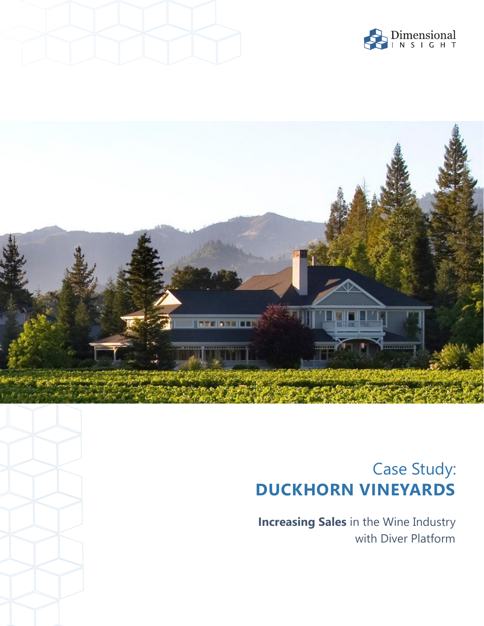





# Case Study: **DUCKHORN VINEYARDS**

**Increasing Sales** in the Wine Industry with Diver Platform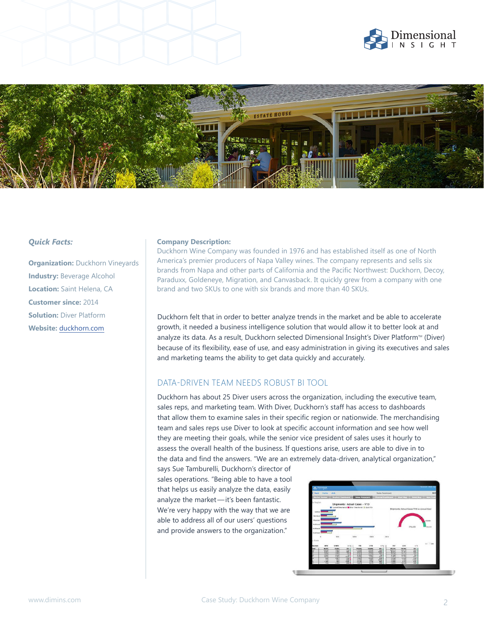





**Organization: Duckhorn Vineyards Industry: Beverage Alcohol Location:** Saint Helena, CA **Customer since:** 2014 **Solution: Diver Platform Website:** duckhorn.com

#### *Quick Facts:* **<b>Company Description:**

Duckhorn Wine Company was founded in 1976 and has established itself as one of North America's premier producers of Napa Valley wines. The company represents and sells six brands from Napa and other parts of California and the Pacific Northwest: Duckhorn, Decoy, Paraduxx, Goldeneye, Migration, and Canvasback. It quickly grew from a company with one brand and two SKUs to one with six brands and more than 40 SKUs.

Duckhorn felt that in order to better analyze trends in the market and be able to accelerate growth, it needed a business intelligence solution that would allow it to better look at and analyze its data. As a result, Duckhorn selected Dimensional Insight's Diver Platform™ (Diver) because of its flexibility, ease of use, and easy administration in giving its executives and sales and marketing teams the ability to get data quickly and accurately.

### DATA-DRIVEN TEAM NEEDS ROBUST BI TOOL

Duckhorn has about 25 Diver users across the organization, including the executive team, sales reps, and marketing team. With Diver, Duckhorn's staff has access to dashboards that allow them to examine sales in their specific region or nationwide. The merchandising team and sales reps use Diver to look at specific account information and see how well they are meeting their goals, while the senior vice president of sales uses it hourly to assess the overall health of the business. If questions arise, users are able to dive in to the data and find the answers. "We are an extremely data-driven, analytical organization,"

says Sue Tamburelli, Duckhorn's director of sales operations. "Being able to have a tool that helps us easily analyze the data, easily analyze the market-it's been fantastic. We're very happy with the way that we are able to address all of our users' questions and provide answers to the organization."

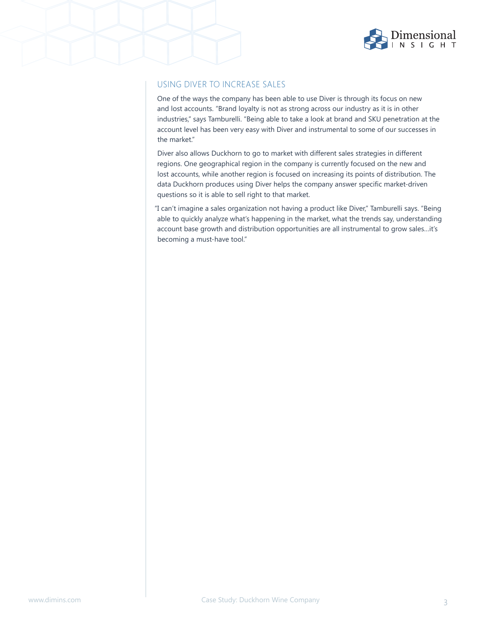

## USING DIVER TO INCREASE SALES

One of the ways the company has been able to use Diver is through its focus on new and lost accounts. "Brand loyalty is not as strong across our industry as it is in other industries," says Tamburelli. "Being able to take a look at brand and SKU penetration at the account level has been very easy with Diver and instrumental to some of our successes in the market."

Diver also allows Duckhorn to go to market with different sales strategies in different regions. One geographical region in the company is currently focused on the new and lost accounts, while another region is focused on increasing its points of distribution. The data Duckhorn produces using Diver helps the company answer specific market-driven questions so it is able to sell right to that market.

"I can't imagine a sales organization not having a product like Diver," Tamburelli says. "Being able to quickly analyze what's happening in the market, what the trends say, understanding account base growth and distribution opportunities are all instrumental to grow sales…it's becoming a must-have tool."